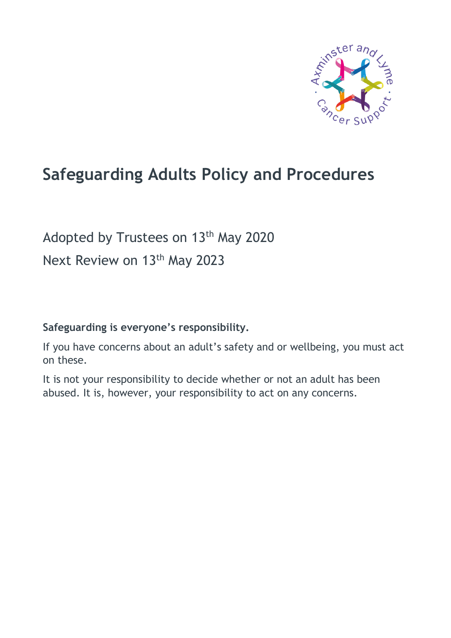

# **Safeguarding Adults Policy and Procedures**

Adopted by Trustees on 13<sup>th</sup> May 2020 Next Review on 13<sup>th</sup> May 2023

### **Safeguarding is everyone's responsibility.**

If you have concerns about an adult's safety and or wellbeing, you must act on these.

It is not your responsibility to decide whether or not an adult has been abused. It is, however, your responsibility to act on any concerns.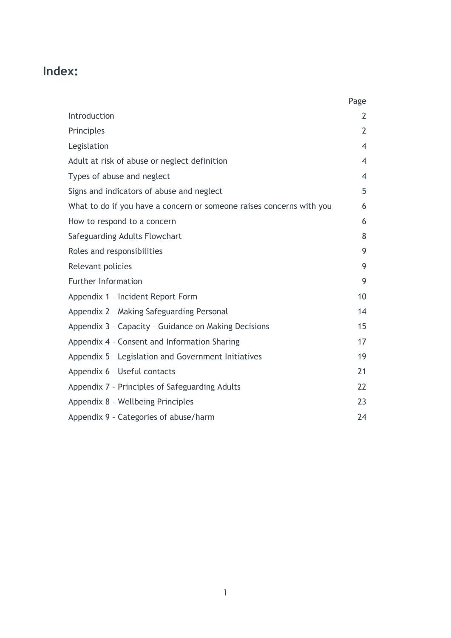## **Index:**

|                                                                      | Page           |
|----------------------------------------------------------------------|----------------|
| Introduction                                                         | $\overline{2}$ |
| Principles                                                           | $\overline{2}$ |
| Legislation                                                          | $\overline{4}$ |
| Adult at risk of abuse or neglect definition                         | $\overline{4}$ |
| Types of abuse and neglect                                           | 4              |
| Signs and indicators of abuse and neglect                            | 5              |
| What to do if you have a concern or someone raises concerns with you | 6              |
| How to respond to a concern                                          | 6              |
| Safeguarding Adults Flowchart                                        | 8              |
| Roles and responsibilities                                           | 9              |
| Relevant policies                                                    | 9              |
| <b>Further Information</b>                                           | 9              |
| Appendix 1 - Incident Report Form                                    | 10             |
| Appendix 2 - Making Safeguarding Personal                            | 14             |
| Appendix 3 - Capacity - Guidance on Making Decisions                 | 15             |
| Appendix 4 - Consent and Information Sharing                         | 17             |
| Appendix 5 - Legislation and Government Initiatives                  | 19             |
| Appendix 6 - Useful contacts                                         | 21             |
| Appendix 7 - Principles of Safeguarding Adults                       | 22             |
| Appendix 8 - Wellbeing Principles                                    | 23             |
| Appendix 9 - Categories of abuse/harm                                | 24             |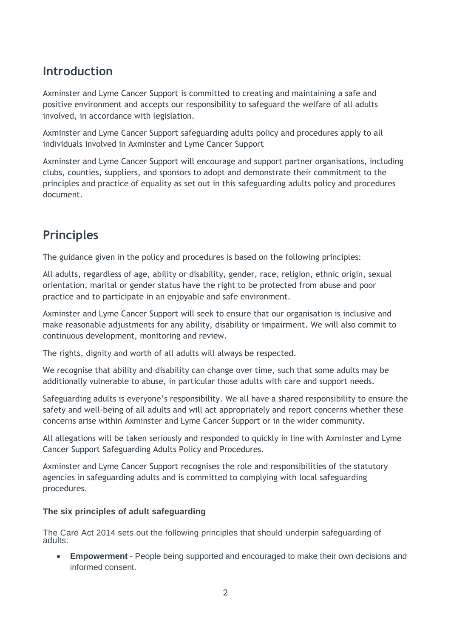### **Introduction**

Axminster and Lyme Cancer Support is committed to creating and maintaining a safe and positive environment and accepts our responsibility to safeguard the welfare of all adults involved, in accordance with legislation.

Axminster and Lyme Cancer Support safeguarding adults policy and procedures apply to all individuals involved in Axminster and Lyme Cancer Support

Axminster and Lyme Cancer Support will encourage and support partner organisations, including clubs, counties, suppliers, and sponsors to adopt and demonstrate their commitment to the principles and practice of equality as set out in this safeguarding adults policy and procedures document.

## **Principles**

The guidance given in the policy and procedures is based on the following principles:

All adults, regardless of age, ability or disability, gender, race, religion, ethnic origin, sexual orientation, marital or gender status have the right to be protected from abuse and poor practice and to participate in an enjoyable and safe environment.

Axminster and Lyme Cancer Support will seek to ensure that our organisation is inclusive and make reasonable adjustments for any ability, disability or impairment. We will also commit to continuous development, monitoring and review.

The rights, dignity and worth of all adults will always be respected.

We recognise that ability and disability can change over time, such that some adults may be additionally vulnerable to abuse, in particular those adults with care and support needs.

Safeguarding adults is everyone's responsibility. We all have a shared responsibility to ensure the safety and well-being of all adults and will act appropriately and report concerns whether these concerns arise within Axminster and Lyme Cancer Support or in the wider community.

All allegations will be taken seriously and responded to quickly in line with Axminster and Lyme Cancer Support Safeguarding Adults Policy and Procedures.

Axminster and Lyme Cancer Support recognises the role and responsibilities of the statutory agencies in safeguarding adults and is committed to complying with local safeguarding procedures.

#### **The six principles of adult safeguarding**

The Care Act 2014 sets out the following principles that should underpin safeguarding of adults:

• **Empowerment** - People being supported and encouraged to make their own decisions and informed consent.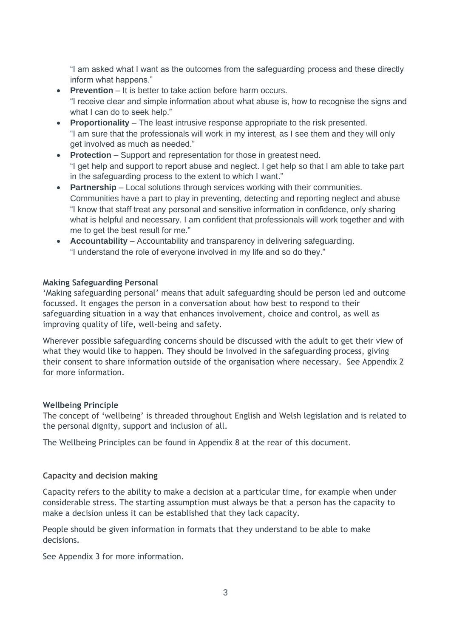"I am asked what I want as the outcomes from the safeguarding process and these directly inform what happens."

- **Prevention** It is better to take action before harm occurs. "I receive clear and simple information about what abuse is, how to recognise the signs and what I can do to seek help."
- **Proportionality** The least intrusive response appropriate to the risk presented. "I am sure that the professionals will work in my interest, as I see them and they will only get involved as much as needed."
- **Protection** Support and representation for those in greatest need. "I get help and support to report abuse and neglect. I get help so that I am able to take part in the safeguarding process to the extent to which I want."
- **Partnership** Local solutions through services working with their communities. Communities have a part to play in preventing, detecting and reporting neglect and abuse "I know that staff treat any personal and sensitive information in confidence, only sharing what is helpful and necessary. I am confident that professionals will work together and with me to get the best result for me."
- **Accountability** Accountability and transparency in delivering safeguarding. "I understand the role of everyone involved in my life and so do they."

#### **Making Safeguarding Personal**

'Making safeguarding personal' means that adult safeguarding should be person led and outcome focussed. It engages the person in a conversation about how best to respond to their safeguarding situation in a way that enhances involvement, choice and control, as well as improving quality of life, well-being and safety.

Wherever possible safeguarding concerns should be discussed with the adult to get their view of what they would like to happen. They should be involved in the safeguarding process, giving their consent to share information outside of the organisation where necessary. See Appendix 2 for more information.

#### **Wellbeing Principle**

The concept of 'wellbeing' is threaded throughout English and Welsh legislation and is related to the personal dignity, support and inclusion of all.

The Wellbeing Principles can be found in Appendix 8 at the rear of this document.

#### **Capacity and decision making**

Capacity refers to the ability to make a decision at a particular time, for example when under considerable stress. The starting assumption must always be that a person has the capacity to make a decision unless it can be established that they lack capacity.

People should be given information in formats that they understand to be able to make decisions.

See Appendix 3 for more information.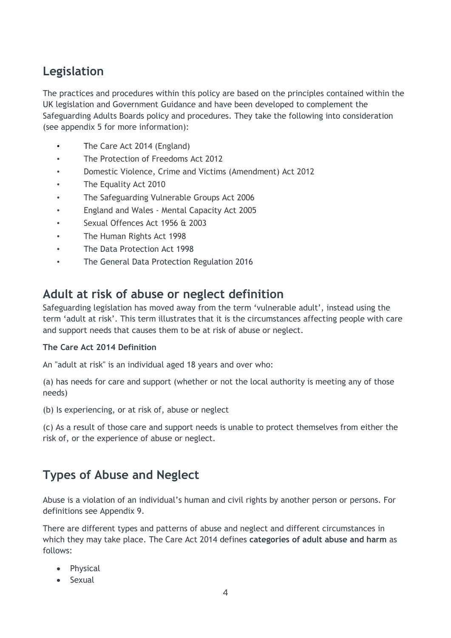## **Legislation**

The practices and procedures within this policy are based on the principles contained within the UK legislation and Government Guidance and have been developed to complement the Safeguarding Adults Boards policy and procedures. They take the following into consideration (see appendix 5 for more information):

- The Care Act 2014 (England)
- The Protection of Freedoms Act 2012
- Domestic Violence, Crime and Victims (Amendment) Act 2012
- The Equality Act 2010
- The Safeguarding Vulnerable Groups Act 2006
- England and Wales Mental Capacity Act 2005
- Sexual Offences Act 1956 & 2003
- The Human Rights Act 1998
- The Data Protection Act 1998
- The General Data Protection Regulation 2016

### **Adult at risk of abuse or neglect definition**

Safeguarding legislation has moved away from the term 'vulnerable adult', instead using the term 'adult at risk'. This term illustrates that it is the circumstances affecting people with care and support needs that causes them to be at risk of abuse or neglect.

#### **The Care Act 2014 Definition**

An "adult at risk" is an individual aged 18 years and over who:

(a) has needs for care and support (whether or not the local authority is meeting any of those needs)

(b) Is experiencing, or at risk of, abuse or neglect

(c) As a result of those care and support needs is unable to protect themselves from either the risk of, or the experience of abuse or neglect.

### **Types of Abuse and Neglect**

Abuse is a violation of an individual's human and civil rights by another person or persons. For definitions see Appendix 9.

There are different types and patterns of abuse and neglect and different circumstances in which they may take place. The Care Act 2014 defines **categories of adult abuse and harm** as follows:

- Physical
- Sexual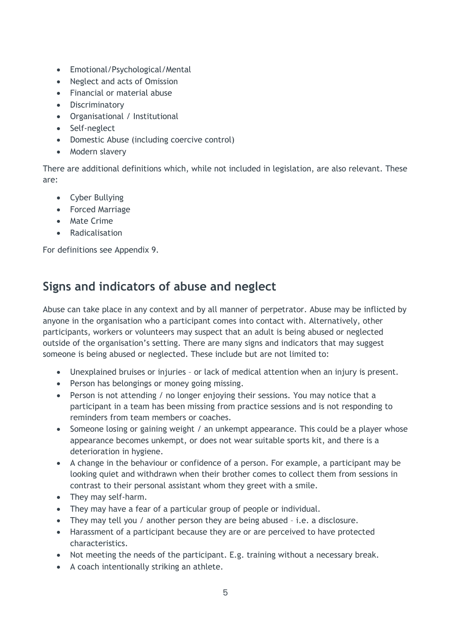- Emotional/Psychological/Mental
- Neglect and acts of Omission
- Financial or material abuse
- Discriminatory
- Organisational / Institutional
- Self-neglect
- Domestic Abuse (including coercive control)
- Modern slavery

There are additional definitions which, while not included in legislation, are also relevant. These are:

- Cyber Bullying
- Forced Marriage
- Mate Crime
- Radicalisation

For definitions see Appendix 9.

### **Signs and indicators of abuse and neglect**

Abuse can take place in any context and by all manner of perpetrator. Abuse may be inflicted by anyone in the organisation who a participant comes into contact with. Alternatively, other participants, workers or volunteers may suspect that an adult is being abused or neglected outside of the organisation's setting. There are many signs and indicators that may suggest someone is being abused or neglected. These include but are not limited to:

- Unexplained bruises or injuries or lack of medical attention when an injury is present.
- Person has belongings or money going missing.
- Person is not attending / no longer enjoying their sessions. You may notice that a participant in a team has been missing from practice sessions and is not responding to reminders from team members or coaches.
- Someone losing or gaining weight / an unkempt appearance. This could be a player whose appearance becomes unkempt, or does not wear suitable sports kit, and there is a deterioration in hygiene.
- A change in the behaviour or confidence of a person. For example, a participant may be looking quiet and withdrawn when their brother comes to collect them from sessions in contrast to their personal assistant whom they greet with a smile.
- They may self-harm.
- They may have a fear of a particular group of people or individual.
- They may tell you / another person they are being abused i.e. a disclosure.
- Harassment of a participant because they are or are perceived to have protected characteristics.
- Not meeting the needs of the participant. E.g. training without a necessary break.
- A coach intentionally striking an athlete.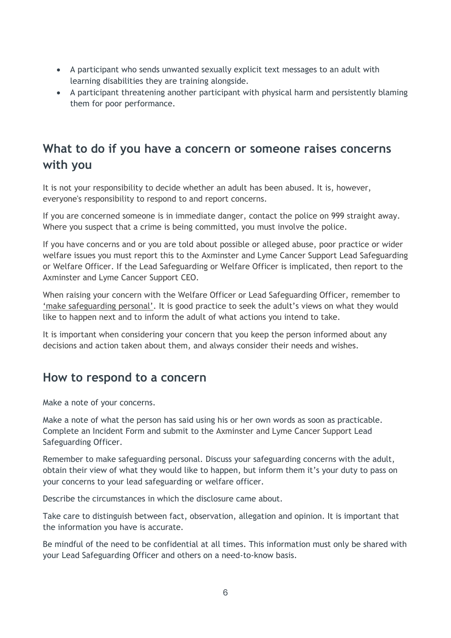- A participant who sends unwanted sexually explicit text messages to an adult with learning disabilities they are training alongside.
- A participant threatening another participant with physical harm and persistently blaming them for poor performance.

## **What to do if you have a concern or someone raises concerns with you**

It is not your responsibility to decide whether an adult has been abused. It is, however, everyone's responsibility to respond to and report concerns.

If you are concerned someone is in immediate danger, contact the police on 999 straight away. Where you suspect that a crime is being committed, you must involve the police.

If you have concerns and or you are told about possible or alleged abuse, poor practice or wider welfare issues you must report this to the Axminster and Lyme Cancer Support Lead Safeguarding or Welfare Officer. If the Lead Safeguarding or Welfare Officer is implicated, then report to the Axminster and Lyme Cancer Support CEO.

When raising your concern with the Welfare Officer or Lead Safeguarding Officer, remember to 'make safeguarding personal'. It is good practice to seek the adult's views on what they would like to happen next and to inform the adult of what actions you intend to take.

It is important when considering your concern that you keep the person informed about any decisions and action taken about them, and always consider their needs and wishes.

### **How to respond to a concern**

Make a note of your concerns.

Make a note of what the person has said using his or her own words as soon as practicable. Complete an Incident Form and submit to the Axminster and Lyme Cancer Support Lead Safeguarding Officer.

Remember to make safeguarding personal. Discuss your safeguarding concerns with the adult, obtain their view of what they would like to happen, but inform them it's your duty to pass on your concerns to your lead safeguarding or welfare officer.

Describe the circumstances in which the disclosure came about.

Take care to distinguish between fact, observation, allegation and opinion. It is important that the information you have is accurate.

Be mindful of the need to be confidential at all times. This information must only be shared with your Lead Safeguarding Officer and others on a need-to-know basis.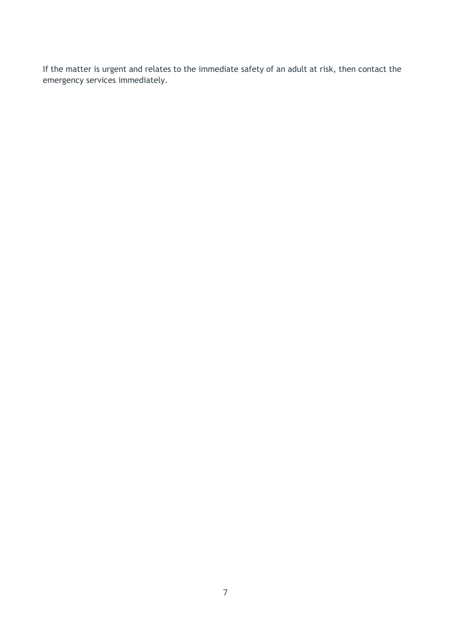If the matter is urgent and relates to the immediate safety of an adult at risk, then contact the emergency services immediately.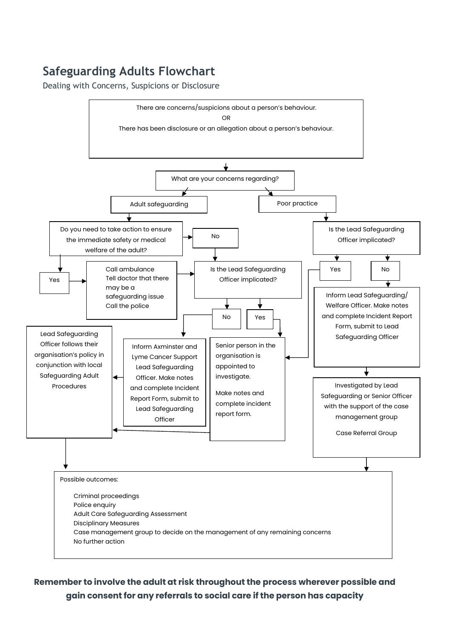## **Safeguarding Adults Flowchart**

Dealing with Concerns, Suspicions or Disclosure



### 8 **gain consent for any referrals to social care if the person has capacityRemember to involve the adult at risk throughout the process wherever possible and**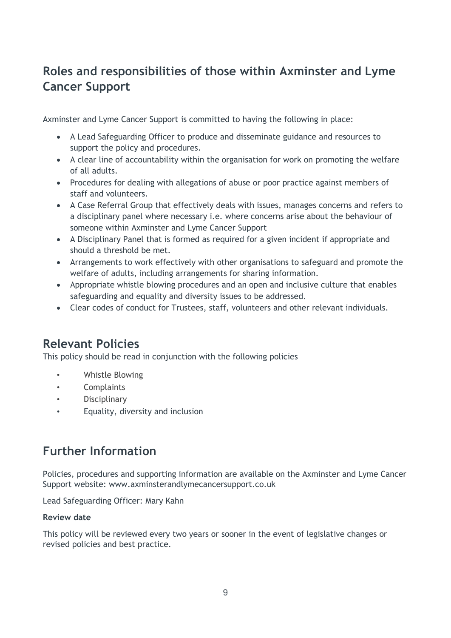## **Roles and responsibilities of those within Axminster and Lyme Cancer Support**

Axminster and Lyme Cancer Support is committed to having the following in place:

- A Lead Safeguarding Officer to produce and disseminate guidance and resources to support the policy and procedures.
- A clear line of accountability within the organisation for work on promoting the welfare of all adults.
- Procedures for dealing with allegations of abuse or poor practice against members of staff and volunteers.
- A Case Referral Group that effectively deals with issues, manages concerns and refers to a disciplinary panel where necessary i.e. where concerns arise about the behaviour of someone within Axminster and Lyme Cancer Support
- A Disciplinary Panel that is formed as required for a given incident if appropriate and should a threshold be met.
- Arrangements to work effectively with other organisations to safeguard and promote the welfare of adults, including arrangements for sharing information.
- Appropriate whistle blowing procedures and an open and inclusive culture that enables safeguarding and equality and diversity issues to be addressed.
- Clear codes of conduct for Trustees, staff, volunteers and other relevant individuals.

### **Relevant Policies**

This policy should be read in conjunction with the following policies

- Whistle Blowing
- Complaints
- Disciplinary
- Equality, diversity and inclusion

### **Further Information**

Policies, procedures and supporting information are available on the Axminster and Lyme Cancer Support website: www.axminsterandlymecancersupport.co.uk

Lead Safeguarding Officer: Mary Kahn

#### **Review date**

This policy will be reviewed every two years or sooner in the event of legislative changes or revised policies and best practice.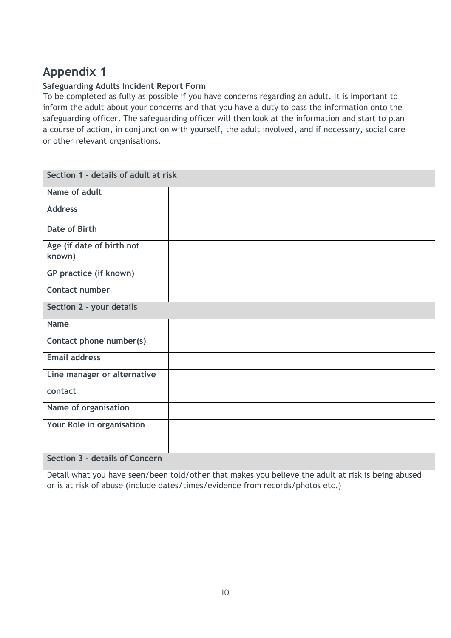#### **Safeguarding Adults Incident Report Form**

To be completed as fully as possible if you have concerns regarding an adult. It is important to inform the adult about your concerns and that you have a duty to pass the information onto the safeguarding officer. The safeguarding officer will then look at the information and start to plan a course of action, in conjunction with yourself, the adult involved, and if necessary, social care or other relevant organisations.

| Section 1 - details of adult at risk |  |
|--------------------------------------|--|
| Name of adult                        |  |
| <b>Address</b>                       |  |
| <b>Date of Birth</b>                 |  |
| Age (if date of birth not<br>known)  |  |
| GP practice (if known)               |  |
| Contact number                       |  |
| Section 2 - your details             |  |
| <b>Name</b>                          |  |
| Contact phone number(s)              |  |
| <b>Email address</b>                 |  |
| Line manager or alternative          |  |
| contact                              |  |
| Name of organisation                 |  |
| Your Role in organisation            |  |
| Caction 2 details of Concorn         |  |

**Section 3 – details of Concern**

Detail what you have seen/been told/other that makes you believe the adult at risk is being abused or is at risk of abuse (include dates/times/evidence from records/photos etc.)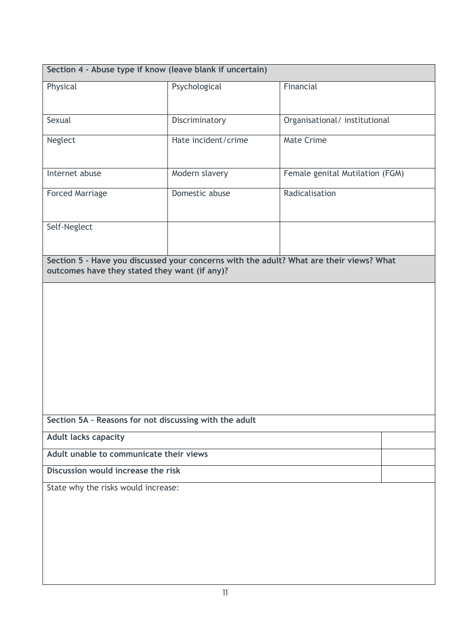| Section 4 - Abuse type if know (leave blank if uncertain)                                                                                |                     |                                 |  |  |  |  |  |  |
|------------------------------------------------------------------------------------------------------------------------------------------|---------------------|---------------------------------|--|--|--|--|--|--|
| Physical                                                                                                                                 | Psychological       | Financial                       |  |  |  |  |  |  |
| Sexual                                                                                                                                   | Discriminatory      | Organisational/ institutional   |  |  |  |  |  |  |
| Neglect                                                                                                                                  | Hate incident/crime | Mate Crime                      |  |  |  |  |  |  |
| Internet abuse                                                                                                                           | Modern slavery      | Female genital Mutilation (FGM) |  |  |  |  |  |  |
| <b>Forced Marriage</b>                                                                                                                   | Domestic abuse      | Radicalisation                  |  |  |  |  |  |  |
| Self-Neglect                                                                                                                             |                     |                                 |  |  |  |  |  |  |
| Section 5 - Have you discussed your concerns with the adult? What are their views? What<br>outcomes have they stated they want (if any)? |                     |                                 |  |  |  |  |  |  |
|                                                                                                                                          |                     |                                 |  |  |  |  |  |  |
| Section 5A - Reasons for not discussing with the adult                                                                                   |                     |                                 |  |  |  |  |  |  |
| <b>Adult lacks capacity</b>                                                                                                              |                     |                                 |  |  |  |  |  |  |
| Adult unable to communicate their views                                                                                                  |                     |                                 |  |  |  |  |  |  |
| Discussion would increase the risk                                                                                                       |                     |                                 |  |  |  |  |  |  |
| State why the risks would increase:                                                                                                      |                     |                                 |  |  |  |  |  |  |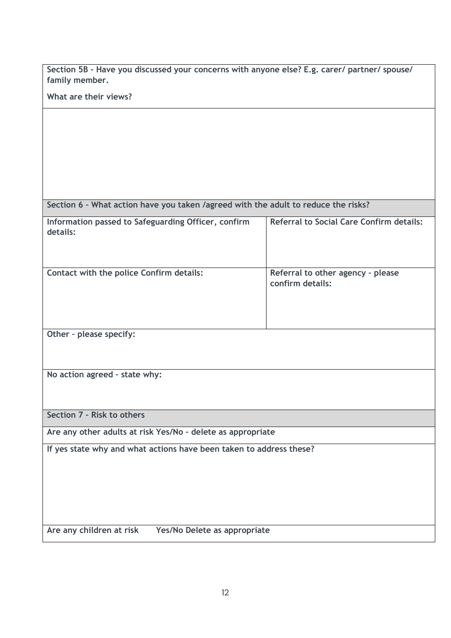**Section 5B - Have you discussed your concerns with anyone else? E.g. carer/ partner/ spouse/ family member.**

**What are their views?**

### **Section 6 – What action have you taken /agreed with the adult to reduce the risks?**

| Information passed to Safeguarding Officer, confirm<br>details:     | <b>Referral to Social Care Confirm details:</b>       |  |  |  |  |  |  |  |
|---------------------------------------------------------------------|-------------------------------------------------------|--|--|--|--|--|--|--|
| Contact with the police Confirm details:                            | Referral to other agency - please<br>confirm details: |  |  |  |  |  |  |  |
| Other - please specify:                                             |                                                       |  |  |  |  |  |  |  |
| No action agreed - state why:                                       |                                                       |  |  |  |  |  |  |  |
| Section 7 - Risk to others                                          |                                                       |  |  |  |  |  |  |  |
| Are any other adults at risk Yes/No - delete as appropriate         |                                                       |  |  |  |  |  |  |  |
| If yes state why and what actions have been taken to address these? |                                                       |  |  |  |  |  |  |  |

**Are any children at risk Yes/No Delete as appropriate**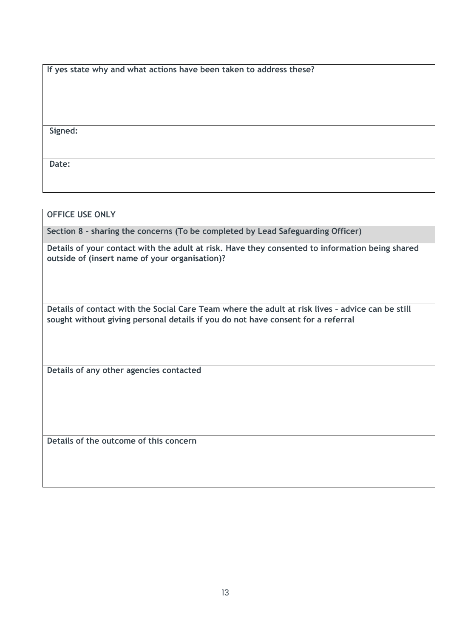|  |  |  |  |  | If yes state why and what actions have been taken to address these? |  |
|--|--|--|--|--|---------------------------------------------------------------------|--|
|  |  |  |  |  |                                                                     |  |

**Signed:**

**Date:**

#### **OFFICE USE ONLY**

**Section 8 – sharing the concerns (To be completed by Lead Safeguarding Officer)**

**Details of your contact with the adult at risk. Have they consented to information being shared outside of (insert name of your organisation)?**

**Details of contact with the Social Care Team where the adult at risk lives – advice can be still sought without giving personal details if you do not have consent for a referral**

**Details of any other agencies contacted**

**Details of the outcome of this concern**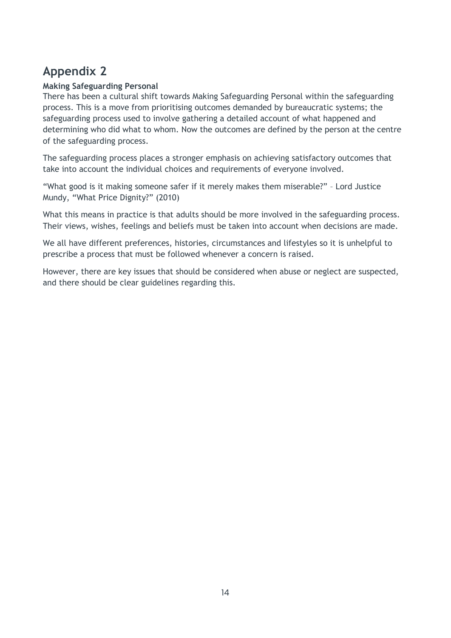#### **Making Safeguarding Personal**

There has been a cultural shift towards Making Safeguarding Personal within the safeguarding process. This is a move from prioritising outcomes demanded by bureaucratic systems; the safeguarding process used to involve gathering a detailed account of what happened and determining who did what to whom. Now the outcomes are defined by the person at the centre of the safeguarding process.

The safeguarding process places a stronger emphasis on achieving satisfactory outcomes that take into account the individual choices and requirements of everyone involved.

"What good is it making someone safer if it merely makes them miserable?" – Lord Justice Mundy, "What Price Dignity?" (2010)

What this means in practice is that adults should be more involved in the safeguarding process. Their views, wishes, feelings and beliefs must be taken into account when decisions are made.

We all have different preferences, histories, circumstances and lifestyles so it is unhelpful to prescribe a process that must be followed whenever a concern is raised.

However, there are key issues that should be considered when abuse or neglect are suspected, and there should be clear guidelines regarding this.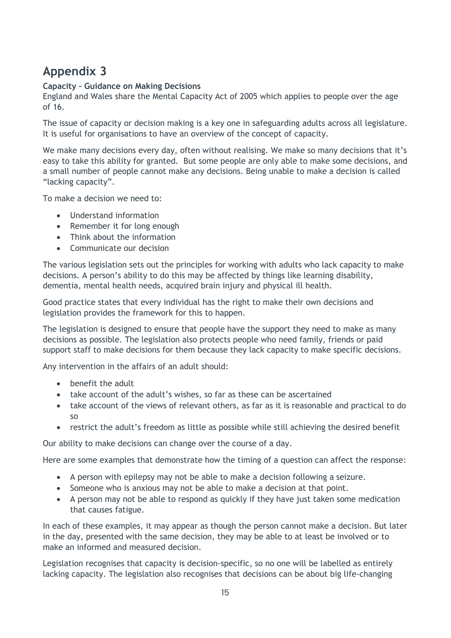#### **Capacity – Guidance on Making Decisions**

England and Wales share the Mental Capacity Act of 2005 which applies to people over the age of 16.

The issue of capacity or decision making is a key one in safeguarding adults across all legislature. It is useful for organisations to have an overview of the concept of capacity.

We make many decisions every day, often without realising. We make so many decisions that it's easy to take this ability for granted. But some people are only able to make some decisions, and a small number of people cannot make any decisions. Being unable to make a decision is called "lacking capacity".

To make a decision we need to:

- Understand information
- Remember it for long enough
- Think about the information
- Communicate our decision

The various legislation sets out the principles for working with adults who lack capacity to make decisions. A person's ability to do this may be affected by things like learning disability, dementia, mental health needs, acquired brain injury and physical ill health.

Good practice states that every individual has the right to make their own decisions and legislation provides the framework for this to happen.

The legislation is designed to ensure that people have the support they need to make as many decisions as possible. The legislation also protects people who need family, friends or paid support staff to make decisions for them because they lack capacity to make specific decisions.

Any intervention in the affairs of an adult should:

- benefit the adult
- take account of the adult's wishes, so far as these can be ascertained
- take account of the views of relevant others, as far as it is reasonable and practical to do so
- restrict the adult's freedom as little as possible while still achieving the desired benefit

Our ability to make decisions can change over the course of a day.

Here are some examples that demonstrate how the timing of a question can affect the response:

- A person with epilepsy may not be able to make a decision following a seizure.
- Someone who is anxious may not be able to make a decision at that point.
- A person may not be able to respond as quickly if they have just taken some medication that causes fatigue.

In each of these examples, it may appear as though the person cannot make a decision. But later in the day, presented with the same decision, they may be able to at least be involved or to make an informed and measured decision.

Legislation recognises that capacity is decision-specific, so no one will be labelled as entirely lacking capacity. The legislation also recognises that decisions can be about big life-changing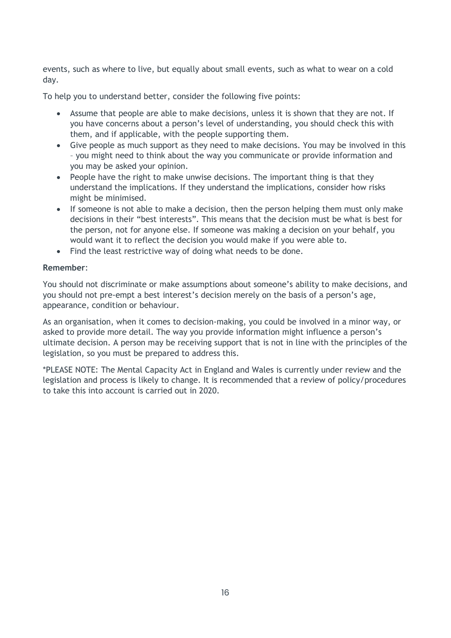events, such as where to live, but equally about small events, such as what to wear on a cold day.

To help you to understand better, consider the following five points:

- Assume that people are able to make decisions, unless it is shown that they are not. If you have concerns about a person's level of understanding, you should check this with them, and if applicable, with the people supporting them.
- Give people as much support as they need to make decisions. You may be involved in this – you might need to think about the way you communicate or provide information and you may be asked your opinion.
- People have the right to make unwise decisions. The important thing is that they understand the implications. If they understand the implications, consider how risks might be minimised.
- If someone is not able to make a decision, then the person helping them must only make decisions in their "best interests". This means that the decision must be what is best for the person, not for anyone else. If someone was making a decision on your behalf, you would want it to reflect the decision you would make if you were able to.
- Find the least restrictive way of doing what needs to be done.

#### **Remember**:

You should not discriminate or make assumptions about someone's ability to make decisions, and you should not pre-empt a best interest's decision merely on the basis of a person's age, appearance, condition or behaviour.

As an organisation, when it comes to decision-making, you could be involved in a minor way, or asked to provide more detail. The way you provide information might influence a person's ultimate decision. A person may be receiving support that is not in line with the principles of the legislation, so you must be prepared to address this.

\*PLEASE NOTE: The Mental Capacity Act in England and Wales is currently under review and the legislation and process is likely to change. It is recommended that a review of policy/procedures to take this into account is carried out in 2020.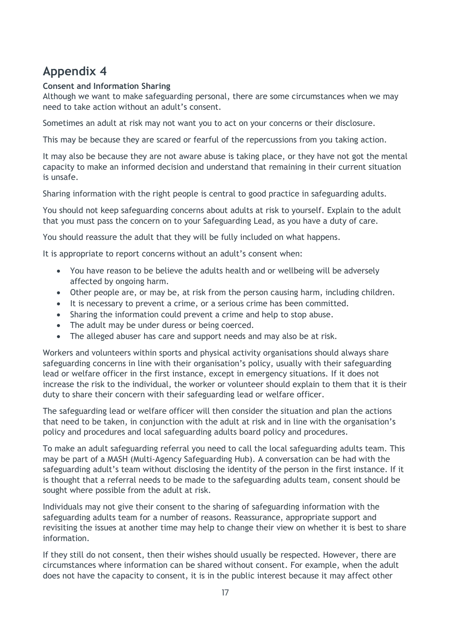#### **Consent and Information Sharing**

Although we want to make safeguarding personal, there are some circumstances when we may need to take action without an adult's consent.

Sometimes an adult at risk may not want you to act on your concerns or their disclosure.

This may be because they are scared or fearful of the repercussions from you taking action.

It may also be because they are not aware abuse is taking place, or they have not got the mental capacity to make an informed decision and understand that remaining in their current situation is unsafe.

Sharing information with the right people is central to good practice in safeguarding adults.

You should not keep safeguarding concerns about adults at risk to yourself. Explain to the adult that you must pass the concern on to your Safeguarding Lead, as you have a duty of care.

You should reassure the adult that they will be fully included on what happens.

It is appropriate to report concerns without an adult's consent when:

- You have reason to be believe the adults health and or wellbeing will be adversely affected by ongoing harm.
- Other people are, or may be, at risk from the person causing harm, including children.
- It is necessary to prevent a crime, or a serious crime has been committed.
- Sharing the information could prevent a crime and help to stop abuse.
- The adult may be under duress or being coerced.
- The alleged abuser has care and support needs and may also be at risk.

Workers and volunteers within sports and physical activity organisations should always share safeguarding concerns in line with their organisation's policy, usually with their safeguarding lead or welfare officer in the first instance, except in emergency situations. If it does not increase the risk to the individual, the worker or volunteer should explain to them that it is their duty to share their concern with their safeguarding lead or welfare officer.

The safeguarding lead or welfare officer will then consider the situation and plan the actions that need to be taken, in conjunction with the adult at risk and in line with the organisation's policy and procedures and local safeguarding adults board policy and procedures.

To make an adult safeguarding referral you need to call the local safeguarding adults team. This may be part of a MASH (Multi-Agency Safeguarding Hub). A conversation can be had with the safeguarding adult's team without disclosing the identity of the person in the first instance. If it is thought that a referral needs to be made to the safeguarding adults team, consent should be sought where possible from the adult at risk.

Individuals may not give their consent to the sharing of safeguarding information with the safeguarding adults team for a number of reasons. Reassurance, appropriate support and revisiting the issues at another time may help to change their view on whether it is best to share information.

If they still do not consent, then their wishes should usually be respected. However, there are circumstances where information can be shared without consent. For example, when the adult does not have the capacity to consent, it is in the public interest because it may affect other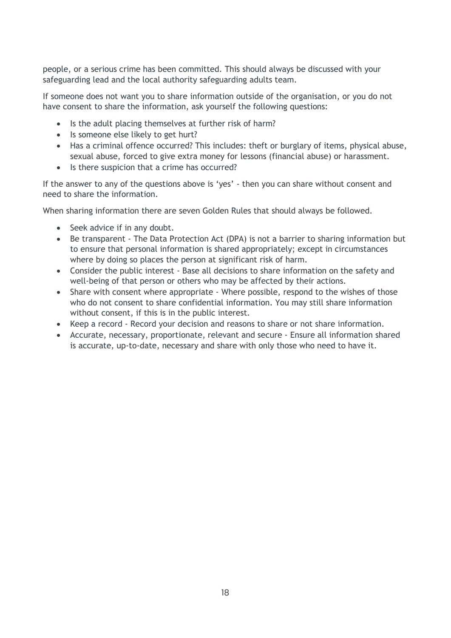people, or a serious crime has been committed. This should always be discussed with your safeguarding lead and the local authority safeguarding adults team.

If someone does not want you to share information outside of the organisation, or you do not have consent to share the information, ask yourself the following questions:

- Is the adult placing themselves at further risk of harm?
- Is someone else likely to get hurt?
- Has a criminal offence occurred? This includes: theft or burglary of items, physical abuse, sexual abuse, forced to give extra money for lessons (financial abuse) or harassment.
- Is there suspicion that a crime has occurred?

If the answer to any of the questions above is 'yes' - then you can share without consent and need to share the information.

When sharing information there are seven Golden Rules that should always be followed.

- Seek advice if in any doubt.
- Be transparent The Data Protection Act (DPA) is not a barrier to sharing information but to ensure that personal information is shared appropriately; except in circumstances where by doing so places the person at significant risk of harm.
- Consider the public interest Base all decisions to share information on the safety and well-being of that person or others who may be affected by their actions.
- Share with consent where appropriate Where possible, respond to the wishes of those who do not consent to share confidential information. You may still share information without consent, if this is in the public interest.
- Keep a record Record your decision and reasons to share or not share information.
- Accurate, necessary, proportionate, relevant and secure Ensure all information shared is accurate, up-to-date, necessary and share with only those who need to have it.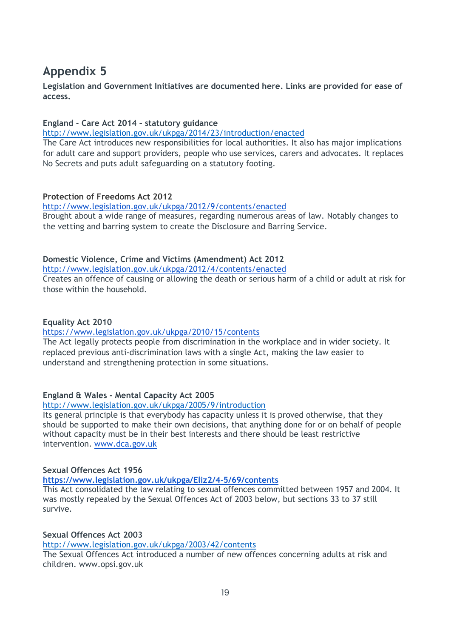**Legislation and Government Initiatives are documented here. Links are provided for ease of access.**

#### **England - Care Act 2014 – statutory guidance**

<http://www.legislation.gov.uk/ukpga/2014/23/introduction/enacted>

The Care Act introduces new responsibilities for local authorities. It also has major implications for adult care and support providers, people who use services, carers and advocates. It replaces No Secrets and puts adult safeguarding on a statutory footing.

#### **Protection of Freedoms Act 2012**

<http://www.legislation.gov.uk/ukpga/2012/9/contents/enacted>

Brought about a wide range of measures, regarding numerous areas of law. Notably changes to the vetting and barring system to create the Disclosure and Barring Service.

#### **Domestic Violence, Crime and Victims (Amendment) Act 2012**

<http://www.legislation.gov.uk/ukpga/2012/4/contents/enacted>

Creates an offence of causing or allowing the death or serious harm of a child or adult at risk for those within the household.

#### **Equality Act 2010**

#### <https://www.legislation.gov.uk/ukpga/2010/15/contents>

The Act legally protects people from discrimination in the workplace and in wider society. It replaced previous anti-discrimination laws with a single Act, making the law easier to understand and strengthening protection in some situations.

#### **England & Wales - Mental Capacity Act 2005**

#### <http://www.legislation.gov.uk/ukpga/2005/9/introduction>

Its general principle is that everybody has capacity unless it is proved otherwise, that they should be supported to make their own decisions, that anything done for or on behalf of people without capacity must be in their best interests and there should be least restrictive intervention. [www.dca.gov.uk](http://www.dca.gov.uk/)

#### **Sexual Offences Act 1956**

**<https://www.legislation.gov.uk/ukpga/Eliz2/4-5/69/contents>**

This Act consolidated the law relating to sexual offences committed between 1957 and 2004. It was mostly repealed by the Sexual Offences Act of 2003 below, but sections 33 to 37 still survive.

#### **Sexual Offences Act 2003**

#### <http://www.legislation.gov.uk/ukpga/2003/42/contents>

The Sexual Offences Act introduced a number of new offences concerning adults at risk and children. www.opsi.gov.uk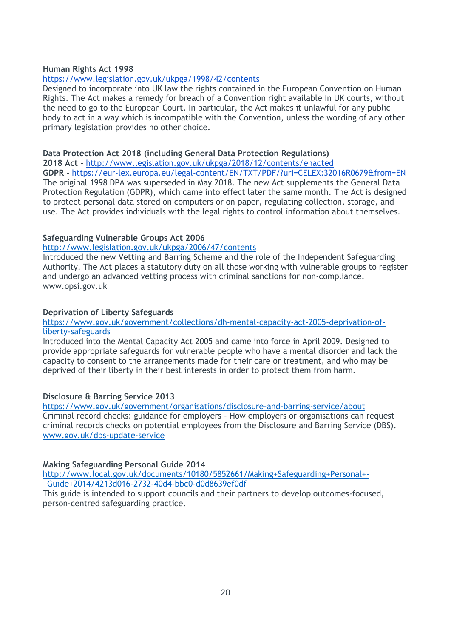#### **Human Rights Act 1998**

#### <https://www.legislation.gov.uk/ukpga/1998/42/contents>

Designed to incorporate into UK law the rights contained in the European Convention on Human Rights. The Act makes a remedy for breach of a Convention right available in UK courts, without the need to go to the European Court. In particular, the Act makes it unlawful for any public body to act in a way which is incompatible with the Convention, unless the wording of any other primary legislation provides no other choice.

#### **Data Protection Act 2018 (including General Data Protection Regulations)**

**2018 Act -** <http://www.legislation.gov.uk/ukpga/2018/12/contents/enacted> **GDPR -** <https://eur-lex.europa.eu/legal-content/EN/TXT/PDF/?uri=CELEX:32016R0679&from=EN> The original 1998 DPA was superseded in May 2018. The new Act supplements the General Data Protection Regulation (GDPR), which came into effect later the same month. The Act is designed to protect personal data stored on computers or on paper, regulating collection, storage, and use. The Act provides individuals with the legal rights to control information about themselves.

#### **Safeguarding Vulnerable Groups Act 2006**

#### <http://www.legislation.gov.uk/ukpga/2006/47/contents>

Introduced the new Vetting and Barring Scheme and the role of the Independent Safeguarding Authority. The Act places a statutory duty on all those working with vulnerable groups to register and undergo an advanced vetting process with criminal sanctions for non-compliance. www.opsi.gov.uk

#### **Deprivation of Liberty Safeguards**

#### [https://www.gov.uk/government/collections/dh-mental-capacity-act-2005-deprivation-of](https://www.gov.uk/government/collections/dh-mental-capacity-act-2005-deprivation-of-liberty-safeguards)[liberty-safeguards](https://www.gov.uk/government/collections/dh-mental-capacity-act-2005-deprivation-of-liberty-safeguards)

Introduced into the Mental Capacity Act 2005 and came into force in April 2009. Designed to provide appropriate safeguards for vulnerable people who have a mental disorder and lack the capacity to consent to the arrangements made for their care or treatment, and who may be deprived of their liberty in their best interests in order to protect them from harm.

#### **Disclosure & Barring Service 2013**

<https://www.gov.uk/government/organisations/disclosure-and-barring-service/about>

Criminal record checks: guidance for employers - How employers or organisations can request criminal records checks on potential employees from the Disclosure and Barring Service (DBS). [www.gov.uk/dbs-update-service](http://www.gov.uk/dbs-update-service)

#### **Making Safeguarding Personal Guide 2014**

[http://www.local.gov.uk/documents/10180/5852661/Making+Safeguarding+Personal+-](http://www.local.gov.uk/documents/10180/5852661/Making+Safeguarding+Personal+-+Guide+2014/4213d016-2732-40d4-bbc0-d0d8639ef0df) [+Guide+2014/4213d016-2732-40d4-bbc0-d0d8639ef0df](http://www.local.gov.uk/documents/10180/5852661/Making+Safeguarding+Personal+-+Guide+2014/4213d016-2732-40d4-bbc0-d0d8639ef0df)

This guide is intended to support councils and their partners to develop outcomes-focused, person-centred safeguarding practice.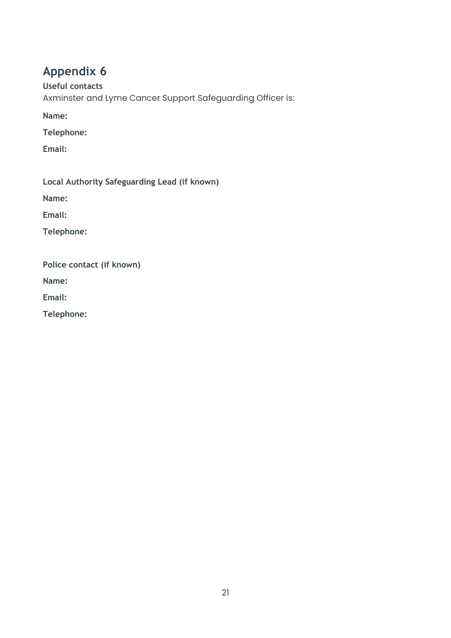**Useful contacts**

Axminster and Lyme Cancer Support Safeguarding Officer is:

**Name:**

**Telephone:**

**Email:**

**Local Authority Safeguarding Lead (if known)**

**Name:**

**Email:**

**Telephone:**

**Police contact (if known)**

**Name:**

**Email:**

**Telephone:**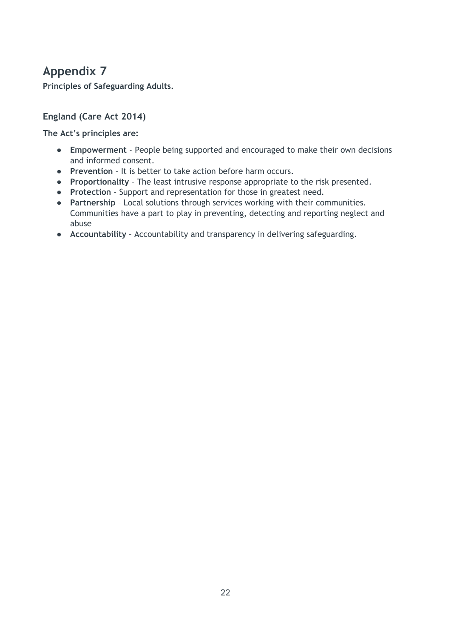**Principles of Safeguarding Adults.**

### **England (Care Act 2014)**

**The Act's principles are:**

- **Empowerment** People being supported and encouraged to make their own decisions and informed consent.
- **Prevention** It is better to take action before harm occurs.
- **Proportionality** The least intrusive response appropriate to the risk presented.
- **Protection** Support and representation for those in greatest need.
- **Partnership** Local solutions through services working with their communities. Communities have a part to play in preventing, detecting and reporting neglect and abuse
- **Accountability** Accountability and transparency in delivering safeguarding.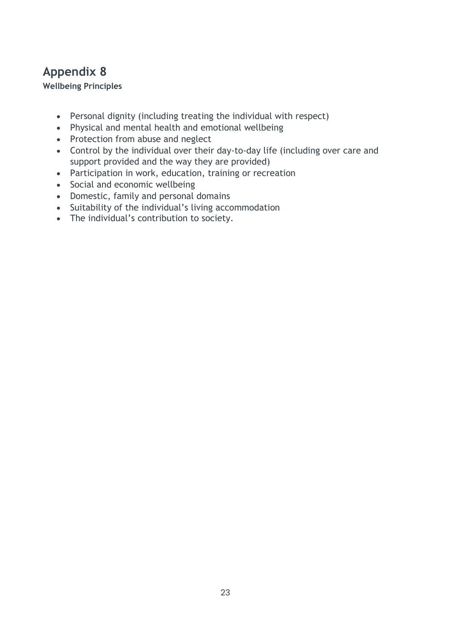**Wellbeing Principles**

- Personal dignity (including treating the individual with respect)
- Physical and mental health and emotional wellbeing
- Protection from abuse and neglect
- Control by the individual over their day-to-day life (including over care and support provided and the way they are provided)
- Participation in work, education, training or recreation
- Social and economic wellbeing
- Domestic, family and personal domains
- Suitability of the individual's living accommodation
- The individual's contribution to society.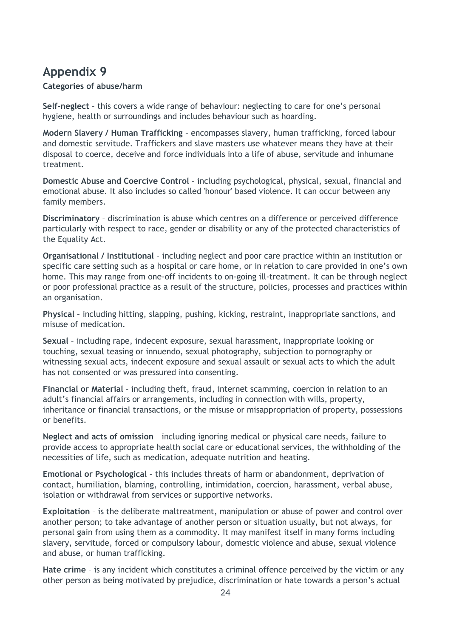#### **Categories of abuse/harm**

**Self-neglect** – this covers a wide range of behaviour: neglecting to care for one's personal hygiene, health or surroundings and includes behaviour such as hoarding.

**Modern Slavery / Human Trafficking** – encompasses slavery, human trafficking, forced labour and domestic servitude. Traffickers and slave masters use whatever means they have at their disposal to coerce, deceive and force individuals into a life of abuse, servitude and inhumane treatment.

**Domestic Abuse and Coercive Control** – including psychological, physical, sexual, financial and emotional abuse. It also includes so called 'honour' based violence. It can occur between any family members.

**Discriminatory** – discrimination is abuse which centres on a difference or perceived difference particularly with respect to race, gender or disability or any of the protected characteristics of the Equality Act.

**Organisational / Institutional** – including neglect and poor care practice within an institution or specific care setting such as a hospital or care home, or in relation to care provided in one's own home. This may range from one-off incidents to on-going ill-treatment. It can be through neglect or poor professional practice as a result of the structure, policies, processes and practices within an organisation.

**Physical** – including hitting, slapping, pushing, kicking, restraint, inappropriate sanctions, and misuse of medication.

**Sexual** – including rape, indecent exposure, sexual harassment, inappropriate looking or touching, sexual teasing or innuendo, sexual photography, subjection to pornography or witnessing sexual acts, indecent exposure and sexual assault or sexual acts to which the adult has not consented or was pressured into consenting.

**Financial or Material** – including theft, fraud, internet scamming, coercion in relation to an adult's financial affairs or arrangements, including in connection with wills, property, inheritance or financial transactions, or the misuse or misappropriation of property, possessions or benefits.

**Neglect and acts of omission** – including ignoring medical or physical care needs, failure to provide access to appropriate health social care or educational services, the withholding of the necessities of life, such as medication, adequate nutrition and heating.

**Emotional or Psychological** – this includes threats of harm or abandonment, deprivation of contact, humiliation, blaming, controlling, intimidation, coercion, harassment, verbal abuse, isolation or withdrawal from services or supportive networks.

**Exploitation** – is the deliberate maltreatment, manipulation or abuse of power and control over another person; to take advantage of another person or situation usually, but not always, for personal gain from using them as a commodity. It may manifest itself in many forms including slavery, servitude, forced or compulsory labour, domestic violence and abuse, sexual violence and abuse, or human trafficking.

**Hate crime** – is any incident which constitutes a criminal offence perceived by the victim or any other person as being motivated by prejudice, discrimination or hate towards a person's actual